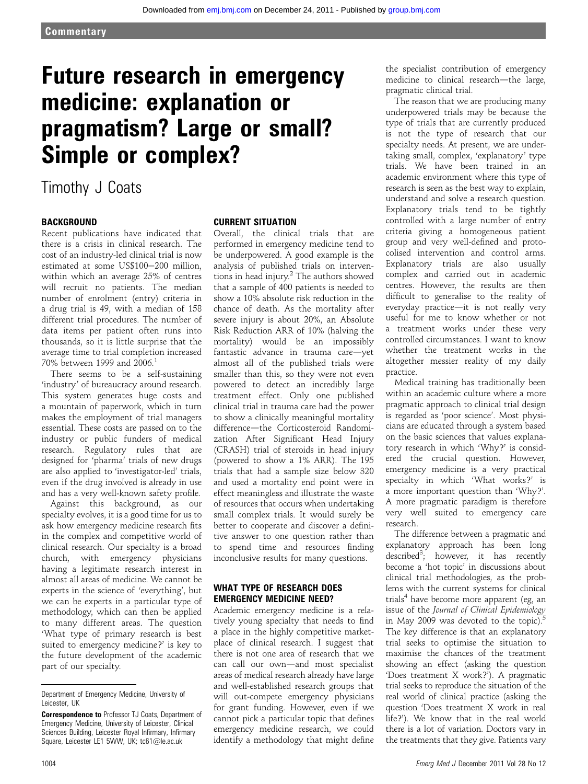# Future research in emergency medicine: explanation or pragmatism? Large or small? Simple or complex?

## Timothy J Coats

#### BACKGROUND

Recent publications have indicated that there is a crisis in clinical research. The cost of an industry-led clinical trial is now estimated at some US\$100-200 million, within which an average 25% of centres will recruit no patients. The median number of enrolment (entry) criteria in a drug trial is 49, with a median of 158 different trial procedures. The number of data items per patient often runs into thousands, so it is little surprise that the average time to trial completion increased 70% between 1999 and 2006.<sup>1</sup>

There seems to be a self-sustaining 'industry' of bureaucracy around research. This system generates huge costs and a mountain of paperwork, which in turn makes the employment of trial managers essential. These costs are passed on to the industry or public funders of medical research. Regulatory rules that are designed for 'pharma' trials of new drugs are also applied to 'investigator-led' trials, even if the drug involved is already in use and has a very well-known safety profile.

Against this background, as our specialty evolves, it is a good time for us to ask how emergency medicine research fits in the complex and competitive world of clinical research. Our specialty is a broad church, with emergency physicians having a legitimate research interest in almost all areas of medicine. We cannot be experts in the science of 'everything', but we can be experts in a particular type of methodology, which can then be applied to many different areas. The question 'What type of primary research is best suited to emergency medicine?' is key to the future development of the academic part of our specialty.

#### CURRENT SITUATION

Overall, the clinical trials that are performed in emergency medicine tend to be underpowered. A good example is the analysis of published trials on interventions in head injury.<sup>2</sup> The authors showed that a sample of 400 patients is needed to show a 10% absolute risk reduction in the chance of death. As the mortality after severe injury is about 20%, an Absolute Risk Reduction ARR of 10% (halving the mortality) would be an impossibly fantastic advance in trauma care-yet almost all of the published trials were smaller than this, so they were not even powered to detect an incredibly large treatment effect. Only one published clinical trial in trauma care had the power to show a clinically meaningful mortality difference-the Corticosteroid Randomization After Significant Head Injury (CRASH) trial of steroids in head injury (powered to show a 1% ARR). The 195 trials that had a sample size below 320 and used a mortality end point were in effect meaningless and illustrate the waste of resources that occurs when undertaking small complex trials. It would surely be better to cooperate and discover a definitive answer to one question rather than to spend time and resources finding inconclusive results for many questions.

#### WHAT TYPE OF RESEARCH DOES EMERGENCY MEDICINE NEED?

Academic emergency medicine is a relatively young specialty that needs to find a place in the highly competitive marketplace of clinical research. I suggest that there is not one area of research that we can call our own-and most specialist areas of medical research already have large and well-established research groups that will out-compete emergency physicians for grant funding. However, even if we cannot pick a particular topic that defines emergency medicine research, we could identify a methodology that might define

the specialist contribution of emergency medicine to clinical research—the large, pragmatic clinical trial.

The reason that we are producing many underpowered trials may be because the type of trials that are currently produced is not the type of research that our specialty needs. At present, we are undertaking small, complex, 'explanatory' type trials. We have been trained in an academic environment where this type of research is seen as the best way to explain, understand and solve a research question. Explanatory trials tend to be tightly controlled with a large number of entry criteria giving a homogeneous patient group and very well-defined and protocolised intervention and control arms. Explanatory trials are also usually complex and carried out in academic centres. However, the results are then difficult to generalise to the reality of everyday practice-it is not really very useful for me to know whether or not a treatment works under these very controlled circumstances. I want to know whether the treatment works in the altogether messier reality of my daily practice.

Medical training has traditionally been within an academic culture where a more pragmatic approach to clinical trial design is regarded as 'poor science'. Most physicians are educated through a system based on the basic sciences that values explanatory research in which 'Why?' is considered the crucial question. However, emergency medicine is a very practical specialty in which 'What works?' is a more important question than 'Why?'. A more pragmatic paradigm is therefore very well suited to emergency care research.

The difference between a pragmatic and explanatory approach has been long described<sup>3</sup>; however, it has recently become a 'hot topic' in discussions about clinical trial methodologies, as the problems with the current systems for clinical trials<sup>4</sup> have become more apparent (eg, an issue of the Journal of Clinical Epidemiology in May 2009 was devoted to the topic).<sup>5</sup> The key difference is that an explanatory trial seeks to optimise the situation to maximise the chances of the treatment showing an effect (asking the question 'Does treatment X work?'). A pragmatic trial seeks to reproduce the situation of the real world of clinical practice (asking the question 'Does treatment X work in real life?'). We know that in the real world there is a lot of variation. Doctors vary in the treatments that they give. Patients vary

Department of Emergency Medicine, University of Leicester, UK

**Correspondence to Professor TJ Coats, Department of** Emergency Medicine, University of Leicester, Clinical Sciences Building, Leicester Royal Infirmary, Infirmary Square, Leicester LE1 5WW, UK; tc61@le.ac.uk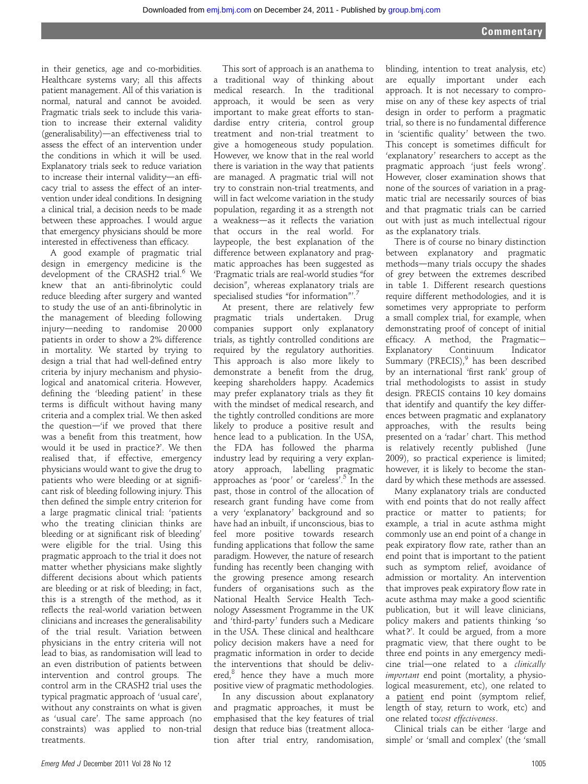in their genetics, age and co-morbidities. Healthcare systems vary; all this affects patient management. All of this variation is normal, natural and cannot be avoided. Pragmatic trials seek to include this variation to increase their external validity (generalisability)—an effectiveness trial to assess the effect of an intervention under the conditions in which it will be used. Explanatory trials seek to reduce variation to increase their internal validity-an efficacy trial to assess the effect of an intervention under ideal conditions. In designing a clinical trial, a decision needs to be made between these approaches. I would argue that emergency physicians should be more interested in effectiveness than efficacy.

A good example of pragmatic trial design in emergency medicine is the development of the CRASH2 trial.<sup>6</sup> We knew that an anti-fibrinolytic could reduce bleeding after surgery and wanted to study the use of an anti-fibrinolytic in the management of bleeding following injury-needing to randomise 20000 patients in order to show a 2% difference in mortality. We started by trying to design a trial that had well-defined entry criteria by injury mechanism and physiological and anatomical criteria. However, defining the 'bleeding patient' in these terms is difficult without having many criteria and a complex trial. We then asked the question-'if we proved that there was a benefit from this treatment, how would it be used in practice?'. We then realised that, if effective, emergency physicians would want to give the drug to patients who were bleeding or at significant risk of bleeding following injury. This then defined the simple entry criterion for a large pragmatic clinical trial: 'patients who the treating clinician thinks are bleeding or at significant risk of bleeding' were eligible for the trial. Using this pragmatic approach to the trial it does not matter whether physicians make slightly different decisions about which patients are bleeding or at risk of bleeding; in fact, this is a strength of the method, as it reflects the real-world variation between clinicians and increases the generalisability of the trial result. Variation between physicians in the entry criteria will not lead to bias, as randomisation will lead to an even distribution of patients between intervention and control groups. The control arm in the CRASH2 trial uses the typical pragmatic approach of 'usual care', without any constraints on what is given as 'usual care'. The same approach (no constraints) was applied to non-trial treatments.

This sort of approach is an anathema to a traditional way of thinking about medical research. In the traditional approach, it would be seen as very important to make great efforts to standardise entry criteria, control group treatment and non-trial treatment to give a homogeneous study population. However, we know that in the real world there is variation in the way that patients are managed. A pragmatic trial will not try to constrain non-trial treatments, and will in fact welcome variation in the study population, regarding it as a strength not a weakness-as it reflects the variation that occurs in the real world. For laypeople, the best explanation of the difference between explanatory and pragmatic approaches has been suggested as 'Pragmatic trials are real-world studies "for decision", whereas explanatory trials are specialised studies "for information"'. 7

At present, there are relatively few pragmatic trials undertaken. Drug companies support only explanatory trials, as tightly controlled conditions are required by the regulatory authorities. This approach is also more likely to demonstrate a benefit from the drug, keeping shareholders happy. Academics may prefer explanatory trials as they fit with the mindset of medical research, and the tightly controlled conditions are more likely to produce a positive result and hence lead to a publication. In the USA, the FDA has followed the pharma industry lead by requiring a very explanatory approach, labelling pragmatic approaches as 'poor' or 'careless'. <sup>5</sup> In the past, those in control of the allocation of research grant funding have come from a very 'explanatory' background and so have had an inbuilt, if unconscious, bias to feel more positive towards research funding applications that follow the same paradigm. However, the nature of research funding has recently been changing with the growing presence among research funders of organisations such as the National Health Service Health Technology Assessment Programme in the UK and 'third-party' funders such a Medicare in the USA. These clinical and healthcare policy decision makers have a need for pragmatic information in order to decide the interventions that should be delivered,<sup>8</sup> hence they have a much more positive view of pragmatic methodologies.

In any discussion about explanatory and pragmatic approaches, it must be emphasised that the key features of trial design that reduce bias (treatment allocation after trial entry, randomisation,

blinding, intention to treat analysis, etc) are equally important under each approach. It is not necessary to compromise on any of these key aspects of trial design in order to perform a pragmatic trial, so there is no fundamental difference in 'scientific quality' between the two. This concept is sometimes difficult for 'explanatory' researchers to accept as the pragmatic approach 'just feels wrong'. However, closer examination shows that none of the sources of variation in a pragmatic trial are necessarily sources of bias and that pragmatic trials can be carried out with just as much intellectual rigour as the explanatory trials.

There is of course no binary distinction between explanatory and pragmatic methods—many trials occupy the shades of grey between the extremes described in table 1. Different research questions require different methodologies, and it is sometimes very appropriate to perform a small complex trial, for example, when demonstrating proof of concept of initial efficacy. A method, the Pragmatic-Explanatory Continuum Indicator Summary  $(PRECIS)^9$  has been described by an international 'first rank' group of trial methodologists to assist in study design. PRECIS contains 10 key domains that identify and quantify the key differences between pragmatic and explanatory approaches, with the results being presented on a 'radar' chart. This method is relatively recently published (June 2009), so practical experience is limited; however, it is likely to become the standard by which these methods are assessed.

Many explanatory trials are conducted with end points that do not really affect practice or matter to patients; for example, a trial in acute asthma might commonly use an end point of a change in peak expiratory flow rate, rather than an end point that is important to the patient such as symptom relief, avoidance of admission or mortality. An intervention that improves peak expiratory flow rate in acute asthma may make a good scientific publication, but it will leave clinicians, policy makers and patients thinking 'so what?'. It could be argued, from a more pragmatic view, that there ought to be three end points in any emergency medi $cine$  trial-one related to a *clinically* important end point (mortality, a physiological measurement, etc), one related to a patient end point (symptom relief, length of stay, return to work, etc) and one related tocost effectiveness.

Clinical trials can be either 'large and simple' or 'small and complex' (the 'small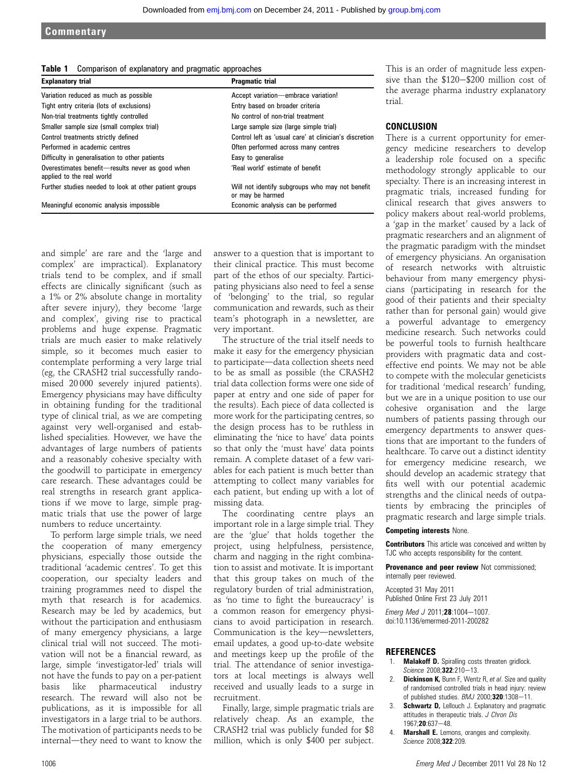| Table 1<br>Comparison of explanatory and pragmatic approaches |
|---------------------------------------------------------------|
|---------------------------------------------------------------|

| <b>Explanatory trial</b>                                                      | <b>Pragmatic trial</b>                                              |  |
|-------------------------------------------------------------------------------|---------------------------------------------------------------------|--|
| Variation reduced as much as possible                                         | Accept variation-embrace variation!                                 |  |
| Tight entry criteria (lots of exclusions)                                     | Entry based on broader criteria                                     |  |
| Non-trial treatments tightly controlled                                       | No control of non-trial treatment                                   |  |
| Smaller sample size (small complex trial)                                     | Large sample size (large simple trial)                              |  |
| Control treatments strictly defined                                           | Control left as 'usual care' at clinician's discretion              |  |
| Performed in academic centres                                                 | Often performed across many centres                                 |  |
| Difficulty in generalisation to other patients                                | Easy to generalise                                                  |  |
| Overestimates benefit-results never as good when<br>applied to the real world | 'Real world' estimate of benefit                                    |  |
| Further studies needed to look at other patient groups                        | Will not identify subgroups who may not benefit<br>or may be harmed |  |
| Meaningful economic analysis impossible                                       | Economic analysis can be performed                                  |  |

and simple' are rare and the 'large and complex' are impractical). Explanatory trials tend to be complex, and if small effects are clinically significant (such as a 1% or 2% absolute change in mortality after severe injury), they become 'large and complex', giving rise to practical problems and huge expense. Pragmatic trials are much easier to make relatively simple, so it becomes much easier to contemplate performing a very large trial (eg, the CRASH2 trial successfully randomised 20 000 severely injured patients). Emergency physicians may have difficulty in obtaining funding for the traditional type of clinical trial, as we are competing against very well-organised and established specialities. However, we have the advantages of large numbers of patients and a reasonably cohesive specialty with the goodwill to participate in emergency care research. These advantages could be real strengths in research grant applications if we move to large, simple pragmatic trials that use the power of large numbers to reduce uncertainty.

To perform large simple trials, we need the cooperation of many emergency physicians, especially those outside the traditional 'academic centres'. To get this cooperation, our specialty leaders and training programmes need to dispel the myth that research is for academics. Research may be led by academics, but without the participation and enthusiasm of many emergency physicians, a large clinical trial will not succeed. The motivation will not be a financial reward, as large, simple 'investigator-led' trials will not have the funds to pay on a per-patient basis like pharmaceutical industry research. The reward will also not be publications, as it is impossible for all investigators in a large trial to be authors. The motivation of participants needs to be internal-they need to want to know the

answer to a question that is important to their clinical practice. This must become part of the ethos of our specialty. Participating physicians also need to feel a sense of 'belonging' to the trial, so regular communication and rewards, such as their team's photograph in a newsletter, are very important.

The structure of the trial itself needs to make it easy for the emergency physician to participate-data collection sheets need to be as small as possible (the CRASH2 trial data collection forms were one side of paper at entry and one side of paper for the results). Each piece of data collected is more work for the participating centres, so the design process has to be ruthless in eliminating the 'nice to have' data points so that only the 'must have' data points remain. A complete dataset of a few variables for each patient is much better than attempting to collect many variables for each patient, but ending up with a lot of missing data.

The coordinating centre plays an important role in a large simple trial. They are the 'glue' that holds together the project, using helpfulness, persistence, charm and nagging in the right combination to assist and motivate. It is important that this group takes on much of the regulatory burden of trial administration, as 'no time to fight the bureaucracy' is a common reason for emergency physicians to avoid participation in research. Communication is the key-newsletters, email updates, a good up-to-date website and meetings keep up the profile of the trial. The attendance of senior investigators at local meetings is always well received and usually leads to a surge in recruitment.

Finally, large, simple pragmatic trials are relatively cheap. As an example, the CRASH2 trial was publicly funded for \$8 million, which is only \$400 per subject.

This is an order of magnitude less expensive than the  $$120-\$200$  million cost of the average pharma industry explanatory trial.

#### CONCLUSION

There is a current opportunity for emergency medicine researchers to develop a leadership role focused on a specific methodology strongly applicable to our specialty. There is an increasing interest in pragmatic trials, increased funding for clinical research that gives answers to policy makers about real-world problems, a 'gap in the market' caused by a lack of pragmatic researchers and an alignment of the pragmatic paradigm with the mindset of emergency physicians. An organisation of research networks with altruistic behaviour from many emergency physicians (participating in research for the good of their patients and their specialty rather than for personal gain) would give a powerful advantage to emergency medicine research. Such networks could be powerful tools to furnish healthcare providers with pragmatic data and costeffective end points. We may not be able to compete with the molecular geneticists for traditional 'medical research' funding, but we are in a unique position to use our cohesive organisation and the large numbers of patients passing through our emergency departments to answer questions that are important to the funders of healthcare. To carve out a distinct identity for emergency medicine research, we should develop an academic strategy that fits well with our potential academic strengths and the clinical needs of outpatients by embracing the principles of pragmatic research and large simple trials.

#### Competing interests None.

**Contributors** This article was conceived and written by TJC who accepts responsibility for the content.

Provenance and peer review Not commissioned; internally peer reviewed.

Accepted 31 May 2011 Published Online First 23 July 2011

Emerg Med J 2011:28:1004-1007. doi:10.1136/emermed-2011-200282

#### **REFERENCES**

- 1. **Malakoff D.** Spiralling costs threaten gridlock.  $Science$   $2008:322:210-13$ .
- 2. Dickinson K, Bunn F, Wentz R, et al. Size and quality of randomised controlled trials in head injury: review of published studies.  $BMJ$  2000; 320:1308-11.
- 3. Schwartz D, Lellouch J. Explanatory and pragmatic attitudes in therapeutic trials. J Chron Dis 1967;20:637-48.
- 4. **Marshall E.** Lemons, oranges and complexity. Science 2008:322:209.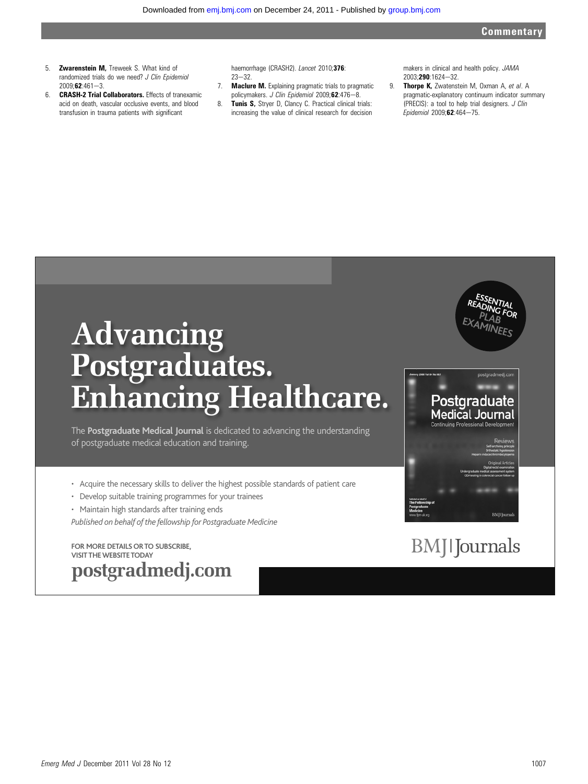- 5. Zwarenstein M, Treweek S. What kind of randomized trials do we need? J Clin Epidemiol  $2009:62:461-3$
- 6. CRASH-2 Trial Collaborators. Effects of tranexamic acid on death, vascular occlusive events, and blood transfusion in trauma patients with significant

haemorrhage (CRASH2). Lancet 2010;376:  $23 - 32$ 

- 7. Maclure M. Explaining pragmatic trials to pragmatic policymakers. J Clin Epidemiol  $2009:62:476-8$ .
- 8. Tunis S, Stryer D, Clancy C. Practical clinical trials: increasing the value of clinical research for decision

makers in clinical and health policy. JAMA 2003:290:1624-32

9. Thorpe K, Zwatenstein M, Oxman A, et al. A pragmatic-explanatory continuum indicator summary (PRECIS): a tool to help trial designers. J Clin Epidemiol 2009;62:464-75.

# **Advancing Postgraduates. Enhancing Healthcare.**

The **Postgraduate Medical Journal** is dedicated to advancing the understanding of postgraduate medical education and training.

- Acquire the necessary skills to deliver the highest possible standards of patient care
- Develop suitable training programmes for your trainees
- Maintain high standards after training ends

*Published on behalf of the fellowship for Postgraduate Medicine*

**FOR MORE DETAILS OR TO SUBSCRIBE, VISIT THEWEBSITE TODAY postgradmedj.com**



ESSENTIAL<br>ADINAL **READING FOR PLAB EXAMINEES**

## BMJIJournals